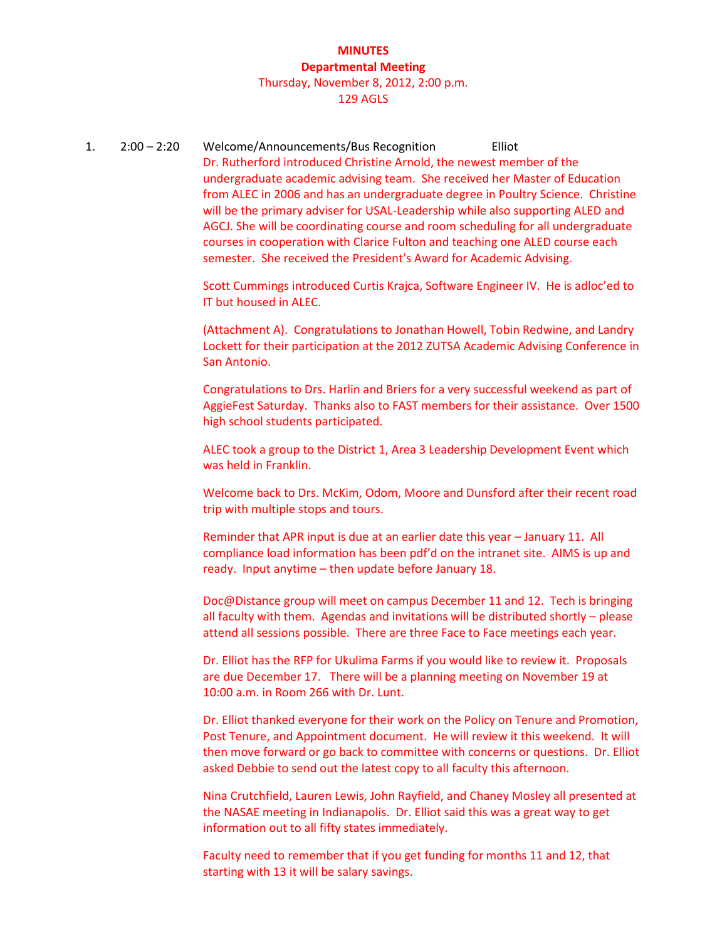## **MINUTES Departmental Meeting** Thursday, November 8, 2012, 2:00 p.m.

### 129 AGLS

1. 2:00 – 2:20 Welcome/Announcements/Bus Recognition Elliot Dr. Rutherford introduced Christine Arnold, the newest member of the undergraduate academic advising team. She received her Master of Education from ALEC in 2006 and has an undergraduate degree in Poultry Science. Christine will be the primary adviser for USAL-Leadership while also supporting ALED and AGCJ. She will be coordinating course and room scheduling for all undergraduate courses in cooperation with Clarice Fulton and teaching one ALED course each semester. She received the President's Award for Academic Advising.

> Scott Cummings introduced Curtis Krajca, Software Engineer IV. He is adloc'ed to IT but housed in ALEC.

(Attachment A). Congratulations to Jonathan Howell, Tobin Redwine, and Landry Lockett for their participation at the 2012 ZUTSA Academic Advising Conference in San Antonio.

Congratulations to Drs. Harlin and Briers for a very successful weekend as part of AggieFest Saturday. Thanks also to FAST members for their assistance. Over 1500 high school students participated.

ALEC took a group to the District 1, Area 3 Leadership Development Event which was held in Franklin.

Welcome back to Drs. McKim, Odom, Moore and Dunsford after their recent road trip with multiple stops and tours.

Reminder that APR input is due at an earlier date this year – January 11. All compliance load information has been pdf'd on the intranet site. AIMS is up and ready. Input anytime – then update before January 18.

Doc@Distance group will meet on campus December 11 and 12. Tech is bringing all faculty with them. Agendas and invitations will be distributed shortly – please attend all sessions possible. There are three Face to Face meetings each year.

Dr. Elliot has the RFP for Ukulima Farms if you would like to review it. Proposals are due December 17. There will be a planning meeting on November 19 at 10:00 a.m. in Room 266 with Dr. Lunt.

Dr. Elliot thanked everyone for their work on the Policy on Tenure and Promotion, Post Tenure, and Appointment document. He will review it this weekend. It will then move forward or go back to committee with concerns or questions. Dr. Elliot asked Debbie to send out the latest copy to all faculty this afternoon.

Nina Crutchfield, Lauren Lewis, John Rayfield, and Chaney Mosley all presented at the NASAE meeting in Indianapolis. Dr. Elliot said this was a great way to get information out to all fifty states immediately.

Faculty need to remember that if you get funding for months 11 and 12, that starting with 13 it will be salary savings.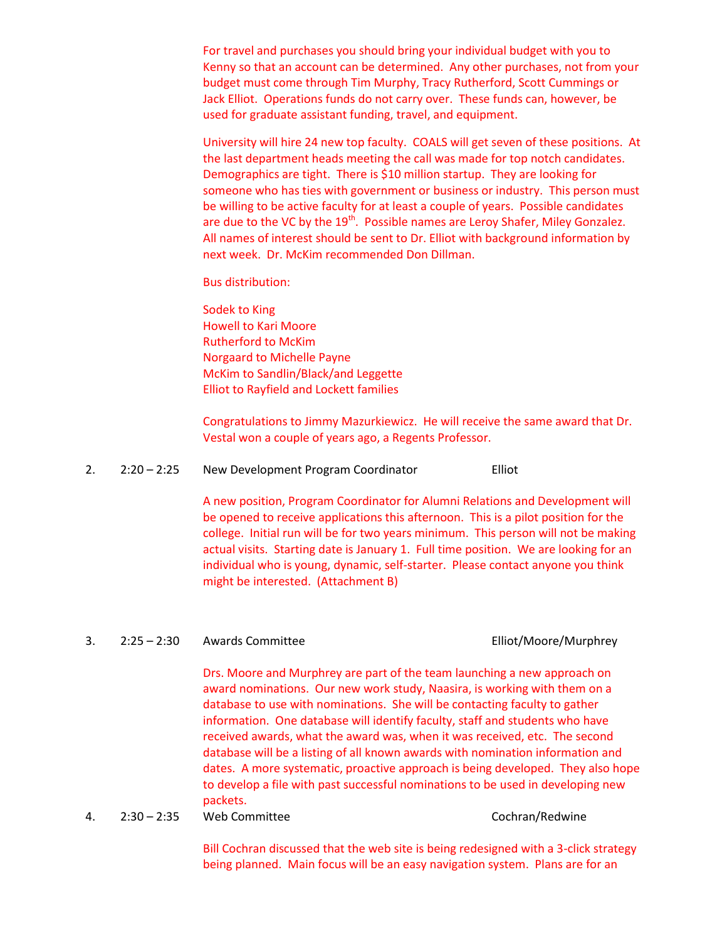For travel and purchases you should bring your individual budget with you to Kenny so that an account can be determined. Any other purchases, not from your budget must come through Tim Murphy, Tracy Rutherford, Scott Cummings or Jack Elliot. Operations funds do not carry over. These funds can, however, be used for graduate assistant funding, travel, and equipment.

University will hire 24 new top faculty. COALS will get seven of these positions. At the last department heads meeting the call was made for top notch candidates. Demographics are tight. There is \$10 million startup. They are looking for someone who has ties with government or business or industry. This person must be willing to be active faculty for at least a couple of years. Possible candidates are due to the VC by the 19<sup>th</sup>. Possible names are Leroy Shafer, Miley Gonzalez. All names of interest should be sent to Dr. Elliot with background information by next week. Dr. McKim recommended Don Dillman.

Bus distribution:

Sodek to King Howell to Kari Moore Rutherford to McKim Norgaard to Michelle Payne McKim to Sandlin/Black/and Leggette Elliot to Rayfield and Lockett families

Congratulations to Jimmy Mazurkiewicz. He will receive the same award that Dr. Vestal won a couple of years ago, a Regents Professor.

2. 2:20 – 2:25 New Development Program Coordinator Elliot

A new position, Program Coordinator for Alumni Relations and Development will be opened to receive applications this afternoon. This is a pilot position for the college. Initial run will be for two years minimum. This person will not be making actual visits. Starting date is January 1. Full time position. We are looking for an individual who is young, dynamic, self-starter. Please contact anyone you think might be interested. (Attachment B)

## 3. 2:25 – 2:30 Awards Committee Elliot/Moore/Murphrey

Drs. Moore and Murphrey are part of the team launching a new approach on award nominations. Our new work study, Naasira, is working with them on a database to use with nominations. She will be contacting faculty to gather information. One database will identify faculty, staff and students who have received awards, what the award was, when it was received, etc. The second database will be a listing of all known awards with nomination information and dates. A more systematic, proactive approach is being developed. They also hope to develop a file with past successful nominations to be used in developing new packets.

4. 2:30 – 2:35 Web Committee Cochran/Redwine

Bill Cochran discussed that the web site is being redesigned with a 3-click strategy being planned. Main focus will be an easy navigation system. Plans are for an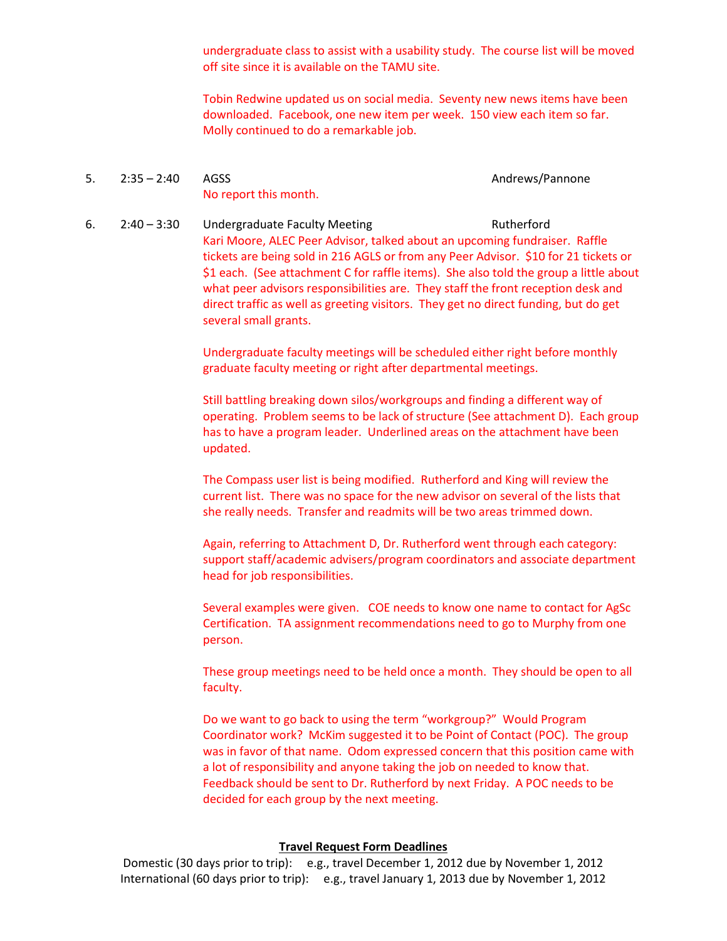undergraduate class to assist with a usability study. The course list will be moved off site since it is available on the TAMU site.

Tobin Redwine updated us on social media. Seventy new news items have been downloaded. Facebook, one new item per week. 150 view each item so far. Molly continued to do a remarkable job.

- 5. 2:35 2:40 AGSS Andrews/Pannone No report this month.
- 6. 2:40 3:30 Undergraduate Faculty Meeting Theorem 2:40 3:30 Kari Moore, ALEC Peer Advisor, talked about an upcoming fundraiser. Raffle tickets are being sold in 216 AGLS or from any Peer Advisor. \$10 for 21 tickets or \$1 each. (See attachment C for raffle items). She also told the group a little about what peer advisors responsibilities are. They staff the front reception desk and direct traffic as well as greeting visitors. They get no direct funding, but do get several small grants.

Undergraduate faculty meetings will be scheduled either right before monthly graduate faculty meeting or right after departmental meetings.

Still battling breaking down silos/workgroups and finding a different way of operating. Problem seems to be lack of structure (See attachment D). Each group has to have a program leader. Underlined areas on the attachment have been updated.

The Compass user list is being modified. Rutherford and King will review the current list. There was no space for the new advisor on several of the lists that she really needs. Transfer and readmits will be two areas trimmed down.

Again, referring to Attachment D, Dr. Rutherford went through each category: support staff/academic advisers/program coordinators and associate department head for job responsibilities.

Several examples were given. COE needs to know one name to contact for AgSc Certification. TA assignment recommendations need to go to Murphy from one person.

These group meetings need to be held once a month. They should be open to all faculty.

Do we want to go back to using the term "workgroup?" Would Program Coordinator work? McKim suggested it to be Point of Contact (POC). The group was in favor of that name. Odom expressed concern that this position came with a lot of responsibility and anyone taking the job on needed to know that. Feedback should be sent to Dr. Rutherford by next Friday. A POC needs to be decided for each group by the next meeting.

## **Travel Request Form Deadlines**

Domestic (30 days prior to trip): e.g., travel December 1, 2012 due by November 1, 2012 International (60 days prior to trip): e.g., travel January 1, 2013 due by November 1, 2012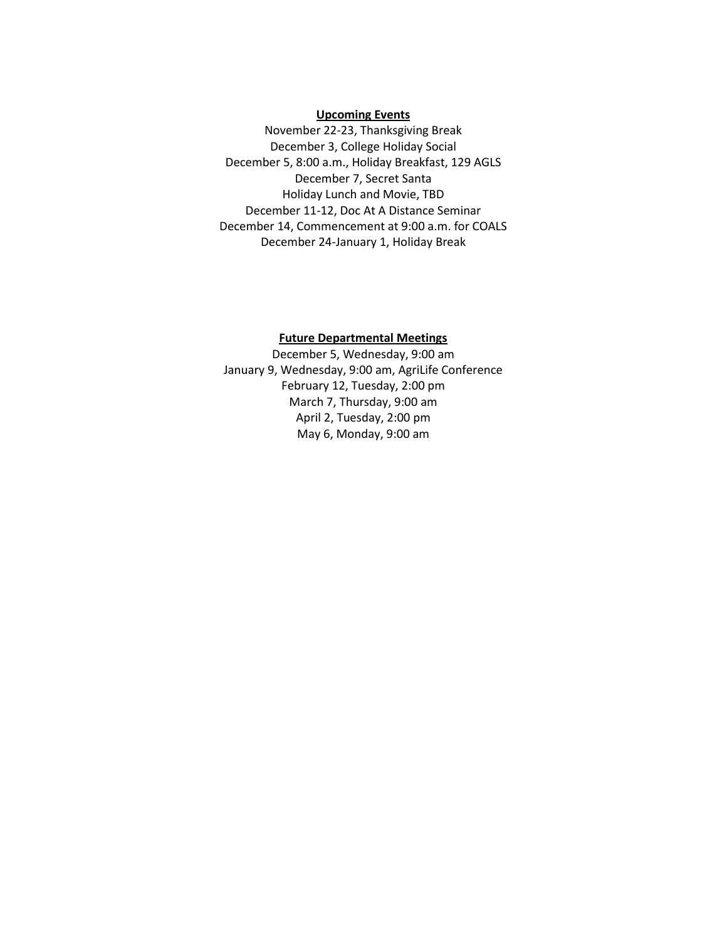## **Upcoming Events**

November 22-23, Thanksgiving Break December 3, College Holiday Social December 5, 8:00 a.m., Holiday Breakfast, 129 AGLS December 7, Secret Santa Holiday Lunch and Movie, TBD December 11-12, Doc At A Distance Seminar December 14, Commencement at 9:00 a.m. for COALS December 24-January 1, Holiday Break

### **Future Departmental Meetings**

December 5, Wednesday, 9:00 am January 9, Wednesday, 9:00 am, AgriLife Conference February 12, Tuesday, 2:00 pm March 7, Thursday, 9:00 am April 2, Tuesday, 2:00 pm May 6, Monday, 9:00 am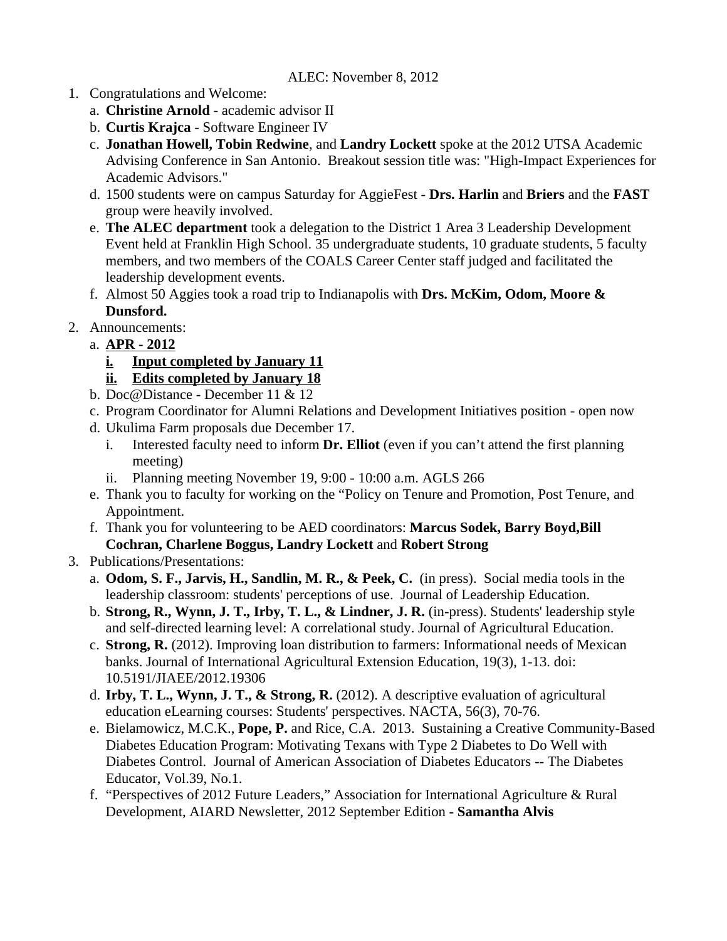# ALEC: November 8, 2012

- 1. Congratulations and Welcome:
	- a. **Christine Arnold**  academic advisor II
	- b. **Curtis Krajca** Software Engineer IV
	- c. **Jonathan Howell, Tobin Redwine**, and **Landry Lockett** spoke at the 2012 UTSA Academic Advising Conference in San Antonio. Breakout session title was: "High-Impact Experiences for Academic Advisors."
	- d. 1500 students were on campus Saturday for AggieFest **Drs. Harlin** and **Briers** and the **FAST** group were heavily involved.
	- e. **The ALEC department** took a delegation to the District 1 Area 3 Leadership Development Event held at Franklin High School. 35 undergraduate students, 10 graduate students, 5 faculty members, and two members of the COALS Career Center staff judged and facilitated the leadership development events.
	- f. Almost 50 Aggies took a road trip to Indianapolis with **Drs. McKim, Odom, Moore & Dunsford.**
- 2. Announcements:
	- a. **APR 2012**
		- **i. Input completed by January 11**
		- **ii. Edits completed by January 18**
		- b. Doc@Distance December 11 & 12
		- c. Program Coordinator for Alumni Relations and Development Initiatives position open now
		- d. Ukulima Farm proposals due December 17.
			- i. Interested faculty need to inform **Dr. Elliot** (even if you can't attend the first planning meeting)
			- ii. Planning meeting November 19, 9:00 10:00 a.m. AGLS 266
		- e. Thank you to faculty for working on the "Policy on Tenure and Promotion, Post Tenure, and Appointment.
		- f. Thank you for volunteering to be AED coordinators: **Marcus Sodek, Barry Boyd,Bill Cochran, Charlene Boggus, Landry Lockett** and **Robert Strong**
- 3. Publications/Presentations:
	- a. **Odom, S. F., Jarvis, H., Sandlin, M. R., & Peek, C.** (in press). Social media tools in the leadership classroom: students' perceptions of use. Journal of Leadership Education.
	- b. **Strong, R., Wynn, J. T., Irby, T. L., & Lindner, J. R.** (in-press). Students' leadership style and self-directed learning level: A correlational study. Journal of Agricultural Education.
	- c. **Strong, R.** (2012). Improving loan distribution to farmers: Informational needs of Mexican banks. Journal of International Agricultural Extension Education, 19(3), 1-13. doi: 10.5191/JIAEE/2012.19306
	- d. **Irby, T. L., Wynn, J. T., & Strong, R.** (2012). A descriptive evaluation of agricultural education eLearning courses: Students' perspectives. NACTA, 56(3), 70-76.
	- e. Bielamowicz, M.C.K., **Pope, P.** and Rice, C.A. 2013. Sustaining a Creative Community-Based Diabetes Education Program: Motivating Texans with Type 2 Diabetes to Do Well with Diabetes Control. Journal of American Association of Diabetes Educators -- The Diabetes Educator, Vol.39, No.1.
	- f. "Perspectives of 2012 Future Leaders," Association for International Agriculture & Rural Development, AIARD Newsletter, 2012 September Edition **- Samantha Alvis**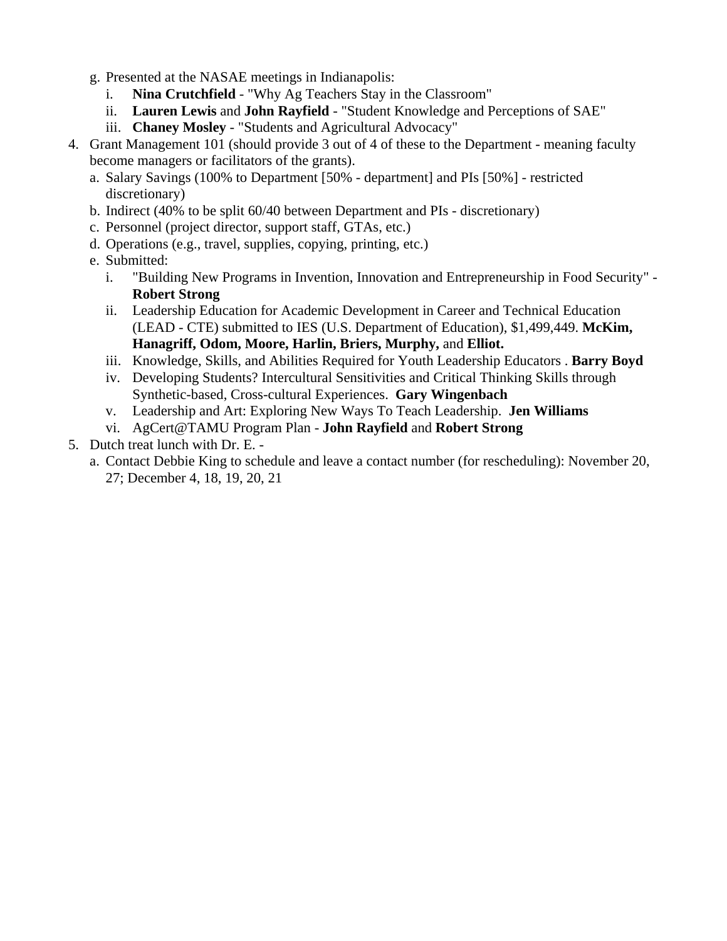- g. Presented at the NASAE meetings in Indianapolis:
	- i. **Nina Crutchfield**  "Why Ag Teachers Stay in the Classroom"
	- ii. **Lauren Lewis** and **John Rayfield**  "Student Knowledge and Perceptions of SAE"
	- iii. **Chaney Mosley**  "Students and Agricultural Advocacy"
- 4. Grant Management 101 (should provide 3 out of 4 of these to the Department meaning faculty become managers or facilitators of the grants).
	- a. Salary Savings (100% to Department [50% department] and PIs [50%] restricted discretionary)
	- b. Indirect (40% to be split 60/40 between Department and PIs discretionary)
	- c. Personnel (project director, support staff, GTAs, etc.)
	- d. Operations (e.g., travel, supplies, copying, printing, etc.)
	- e. Submitted:
		- i. "Building New Programs in Invention, Innovation and Entrepreneurship in Food Security" **Robert Strong**
		- ii. Leadership Education for Academic Development in Career and Technical Education (LEAD - CTE) submitted to IES (U.S. Department of Education), \$1,499,449. **McKim, Hanagriff, Odom, Moore, Harlin, Briers, Murphy,** and **Elliot.**
		- iii. Knowledge, Skills, and Abilities Required for Youth Leadership Educators . **Barry Boyd**
		- iv. Developing Students? Intercultural Sensitivities and Critical Thinking Skills through Synthetic-based, Cross-cultural Experiences. **Gary Wingenbach**
		- v. Leadership and Art: Exploring New Ways To Teach Leadership. **Jen Williams**
		- vi. AgCert@TAMU Program Plan **John Rayfield** and **Robert Strong**
- 5. Dutch treat lunch with Dr. E.
	- a. Contact Debbie King to schedule and leave a contact number (for rescheduling): November 20, 27; December 4, 18, 19, 20, 21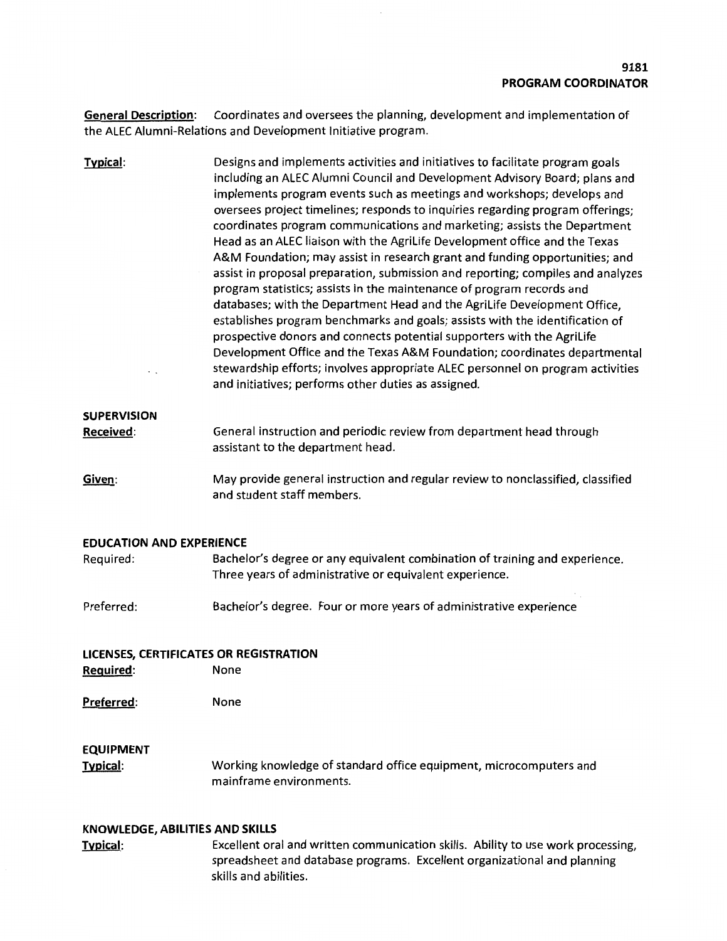**General Description:** Coordinates and oversees the planning, development and implementation of the ALEC Alumni-Relations and Development Initiative program.

**Typical: SUPERVISION Received:**  Designs and implements activities and initiatives to facilitate program goals including an ALEC Alumni Council and Development Advisory Board; plans and implements program events such as meetings and workshops; develops and oversees project timelines; responds to inquiries regarding program offerings; coordinates program communications and marketing; assists the Department Head as an ALEC liaison with the Agrilife Development office and the Texas A&M Foundation; may assist in research grant and funding opportunities; and assist in proposal preparation, submission and reporting; compiles and analyzes program statistics; assists in the maintenance of program records and databases; with the Department Head and the Agrilife Development Office, establishes program benchmarks and goals; assists with the identification of prospective donors and connects potential supporters with the Agrilife Development Office and the Texas A&M Foundation; coordinates departmental stewardship efforts; involves appropriate ALEC personnel on program activities and initiatives; performs other duties as assigned. General instruction and periodic review from department head through assistant to the department head.

**Given:**  May provide general instruction and regular review to nonclassified, classified and student staff members.

### **EDUCATION AND EXPERIENCE**

| Bachelor's degree or any equivalent combination of training and experience. |  |
|-----------------------------------------------------------------------------|--|
| Three years of administrative or equivalent experience.                     |  |
|                                                                             |  |
|                                                                             |  |

Preferred: Bachelor's degree. Four or more years of administrative experience

#### **LICENSES, CERTIFICATES OR REGISTRATION Required:**  None

**Preferred:**  None

## **EQUIPMENT**

**Typical:**  Working knowledge of standard office equipment, microcomputers and mainframe environments.

### **KNOWLEDGE, ABILITIES AND SKILLS**

**Typical:** Excellent oral and written communication skills. Ability to use work processing, spreadsheet and database programs. Excellent organizational and planning skills and abilities.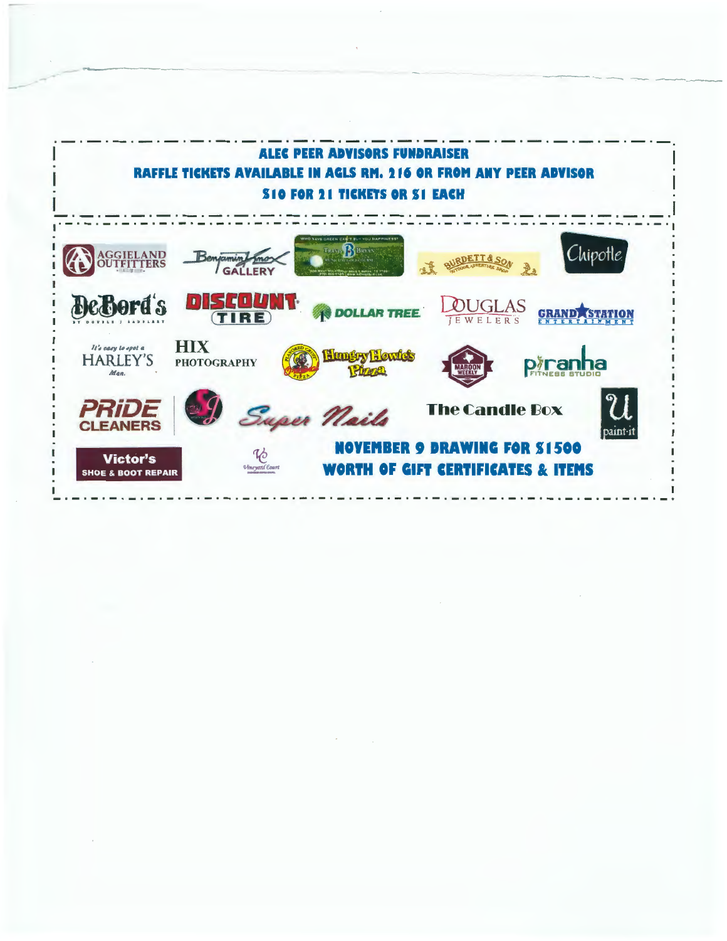

-- -